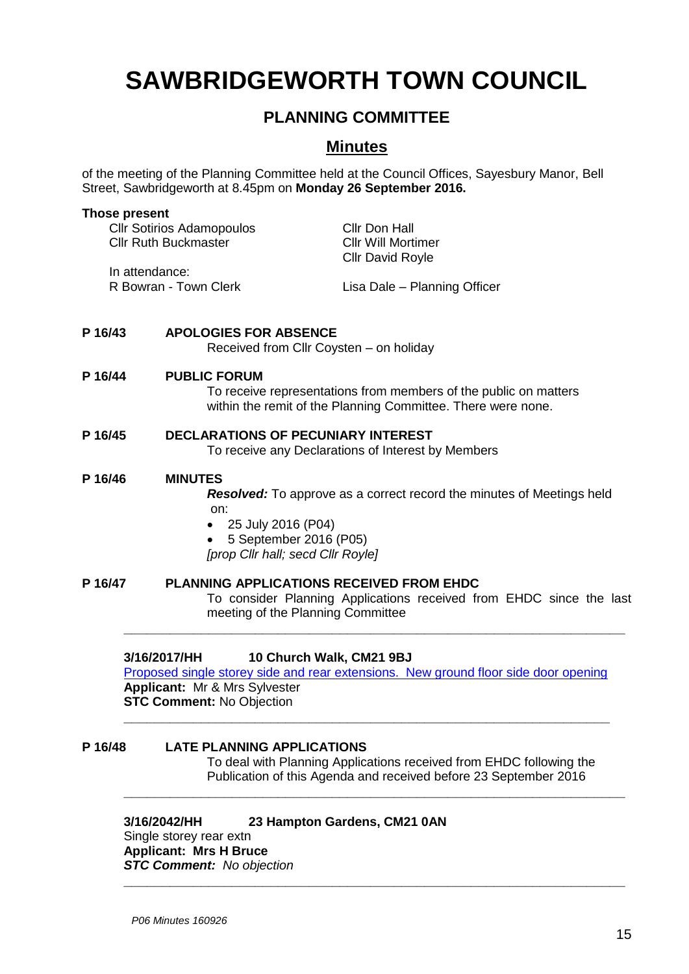# **SAWBRIDGEWORTH TOWN COUNCIL**

## **PLANNING COMMITTEE**

### **Minutes**

of the meeting of the Planning Committee held at the Council Offices, Sayesbury Manor, Bell Street, Sawbridgeworth at 8.45pm on **Monday 26 September 2016.**

|         | <b>CIIr Sotirios Adamopoulos</b><br><b>Cllr Ruth Buckmaster</b> |                                                                                                            | <b>Cllr Don Hall</b><br><b>Cllr Will Mortimer</b><br><b>Cllr David Royle</b>                                                     |  |
|---------|-----------------------------------------------------------------|------------------------------------------------------------------------------------------------------------|----------------------------------------------------------------------------------------------------------------------------------|--|
|         | In attendance:<br>R Bowran - Town Clerk                         |                                                                                                            | Lisa Dale - Planning Officer                                                                                                     |  |
| P 16/43 |                                                                 | <b>APOLOGIES FOR ABSENCE</b><br>Received from Cllr Coysten - on holiday                                    |                                                                                                                                  |  |
| P 16/44 |                                                                 | <b>PUBLIC FORUM</b>                                                                                        | To receive representations from members of the public on matters<br>within the remit of the Planning Committee. There were none. |  |
| P 16/45 |                                                                 | <b>DECLARATIONS OF PECUNIARY INTEREST</b><br>To receive any Declarations of Interest by Members            |                                                                                                                                  |  |
| P 16/46 |                                                                 | <b>MINUTES</b><br>on:<br>25 July 2016 (P04)<br>5 September 2016 (P05)<br>[prop Cllr hall; secd Cllr Royle] | <b>Resolved:</b> To approve as a correct record the minutes of Meetings held                                                     |  |
| P 16/47 |                                                                 | <b>PLANNING APPLICATIONS RECEIVED FROM EHDC</b><br>meeting of the Planning Committee                       | To consider Planning Applications received from EHDC since the last                                                              |  |
|         | 3/16/2017/HH                                                    | 10 Church Walk, CM21 9BJ<br>Applicant: Mr & Mrs Sylvester<br><b>CTP Pammant, No Objaction</b>              | Proposed single storey side and rear extensions. New ground floor side door opening                                              |  |

**STC Comment:** No Objection

**Those present**

# **P 16/48 LATE PLANNING APPLICATIONS**

To deal with Planning Applications received from EHDC following the Publication of this Agenda and received before 23 September 2016

**\_\_\_\_\_\_\_\_\_\_\_\_\_\_\_\_\_\_\_\_\_\_\_\_\_\_\_\_\_\_\_\_\_\_\_\_\_\_\_\_\_\_\_\_\_\_\_\_\_\_\_\_\_\_\_\_\_\_\_\_\_\_\_**

**\_\_\_\_\_\_\_\_\_\_\_\_\_\_\_\_\_\_\_\_\_\_\_\_\_\_\_\_\_\_\_\_\_\_\_\_\_\_\_\_\_\_\_\_\_\_\_\_\_\_\_\_\_\_\_\_\_\_\_\_\_\_\_\_\_**

**\_\_\_\_\_\_\_\_\_\_\_\_\_\_\_\_\_\_\_\_\_\_\_\_\_\_\_\_\_\_\_\_\_\_\_\_\_\_\_\_\_\_\_\_\_\_\_\_\_\_\_\_\_\_\_\_\_\_\_\_\_\_\_\_\_**

#### **3/16/2042/HH 23 Hampton Gardens, CM21 0AN**

Single storey rear extn **Applicant: Mrs H Bruce** *STC Comment: No objection*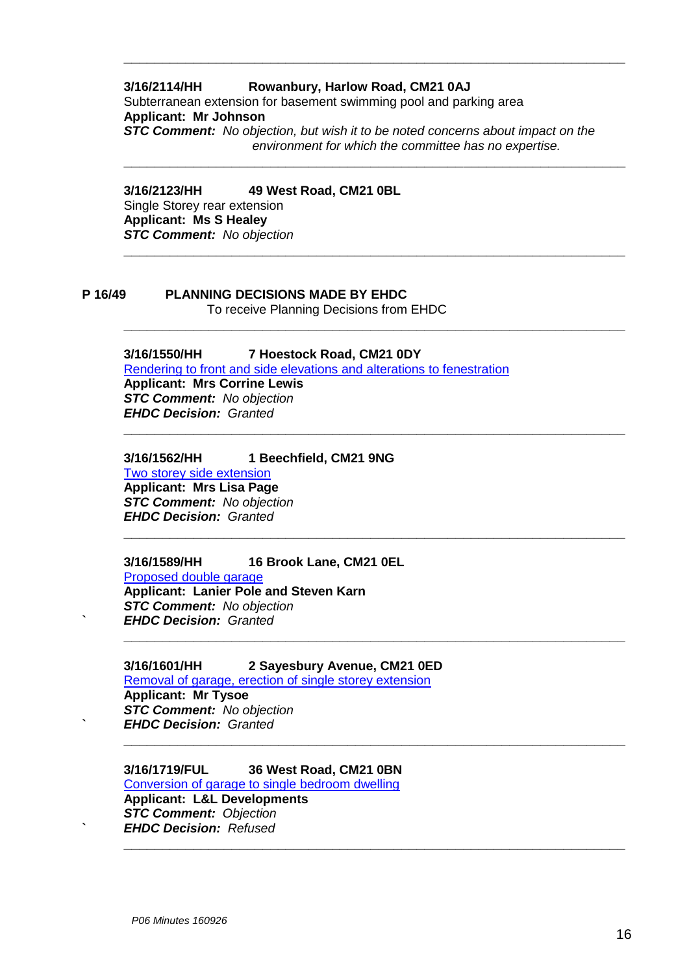#### **3/16/2114/HH Rowanbury, Harlow Road, CM21 0AJ** Subterranean extension for basement swimming pool and parking area **Applicant: Mr Johnson** *STC Comment: No objection, but wish it to be noted concerns about impact on the environment for which the committee has no expertise.*

**\_\_\_\_\_\_\_\_\_\_\_\_\_\_\_\_\_\_\_\_\_\_\_\_\_\_\_\_\_\_\_\_\_\_\_\_\_\_\_\_\_\_\_\_\_\_\_\_\_\_\_\_\_\_\_\_\_\_\_\_\_\_\_\_\_**

**\_\_\_\_\_\_\_\_\_\_\_\_\_\_\_\_\_\_\_\_\_\_\_\_\_\_\_\_\_\_\_\_\_\_\_\_\_\_\_\_\_\_\_\_\_\_\_\_\_\_\_\_\_\_\_\_\_\_\_\_\_\_\_\_\_**

**\_\_\_\_\_\_\_\_\_\_\_\_\_\_\_\_\_\_\_\_\_\_\_\_\_\_\_\_\_\_\_\_\_\_\_\_\_\_\_\_\_\_\_\_\_\_\_\_\_\_\_\_\_\_\_\_\_\_\_\_\_\_\_\_\_**

**\_\_\_\_\_\_\_\_\_\_\_\_\_\_\_\_\_\_\_\_\_\_\_\_\_\_\_\_\_\_\_\_\_\_\_\_\_\_\_\_\_\_\_\_\_\_\_\_\_\_\_\_\_\_\_\_\_\_\_\_\_\_\_\_\_**

**\_\_\_\_\_\_\_\_\_\_\_\_\_\_\_\_\_\_\_\_\_\_\_\_\_\_\_\_\_\_\_\_\_\_\_\_\_\_\_\_\_\_\_\_\_\_\_\_\_\_\_\_\_\_\_\_\_\_\_\_\_\_\_\_\_**

**\_\_\_\_\_\_\_\_\_\_\_\_\_\_\_\_\_\_\_\_\_\_\_\_\_\_\_\_\_\_\_\_\_\_\_\_\_\_\_\_\_\_\_\_\_\_\_\_\_\_\_\_\_\_\_\_\_\_\_\_\_\_\_\_\_**

**\_\_\_\_\_\_\_\_\_\_\_\_\_\_\_\_\_\_\_\_\_\_\_\_\_\_\_\_\_\_\_\_\_\_\_\_\_\_\_\_\_\_\_\_\_\_\_\_\_\_\_\_\_\_\_\_\_\_\_\_\_\_\_\_\_**

**\_\_\_\_\_\_\_\_\_\_\_\_\_\_\_\_\_\_\_\_\_\_\_\_\_\_\_\_\_\_\_\_\_\_\_\_\_\_\_\_\_\_\_\_\_\_\_\_\_\_\_\_\_\_\_\_\_\_\_\_\_\_\_\_\_**

**3/16/2123/HH 49 West Road, CM21 0BL** Single Storey rear extension **Applicant: Ms S Healey** *STC Comment: No objection* **\_\_\_\_\_\_\_\_\_\_\_\_\_\_\_\_\_\_\_\_\_\_\_\_\_\_\_\_\_\_\_\_\_\_\_\_\_\_\_\_\_\_\_\_\_\_\_\_\_\_\_\_\_\_\_\_\_\_\_\_\_\_\_\_\_**

#### **P 16/49 PLANNING DECISIONS MADE BY EHDC** To receive Planning Decisions from EHDC

#### **3/16/1550/HH 7 Hoestock Road, CM21 0DY**

[Rendering to front and side elevations and alterations to fenestration](https://publicaccess.eastherts.gov.uk/online-applications/applicationDetails.do?activeTab=summary&keyVal=O9W3ZTGLKKB00) **Applicant: Mrs Corrine Lewis**  *STC Comment: No objection EHDC Decision: Granted*

#### **3/16/1562/HH 1 Beechfield, CM21 9NG**

[Two storey side extension](https://publicaccess.eastherts.gov.uk/online-applications/applicationDetails.do?activeTab=summary&keyVal=O9ZI5IGLKL500) **Applicant: Mrs Lisa Page**  *STC Comment: No objection EHDC Decision: Granted*

#### **3/16/1589/HH 16 Brook Lane, CM21 0EL**

[Proposed double garage](https://publicaccess.eastherts.gov.uk/online-applications/applicationDetails.do?activeTab=summary&keyVal=OA77XQGLKMW00) **Applicant: Lanier Pole and Steven Karn** *STC Comment: No objection* **`** *EHDC Decision: Granted*

**3/16/1601/HH 2 Sayesbury Avenue, CM21 0ED** [Removal of garage, erection of single storey extension](https://publicaccess.eastherts.gov.uk/online-applications/applicationDetails.do?activeTab=summary&keyVal=OA9DRGGLKNA00) **Applicant: Mr Tysoe** *STC Comment: No objection* **`** *EHDC Decision: Granted*

#### **3/16/1719/FUL 36 West Road, CM21 0BN**

[Conversion of garage to single](https://publicaccess.eastherts.gov.uk/online-applications/applicationDetails.do?activeTab=summary&keyVal=OA9DRGGLKNA00) bedroom dwelling **Applicant: L&L Developments** *STC Comment: Objection* **`** *EHDC Decision: Refused*